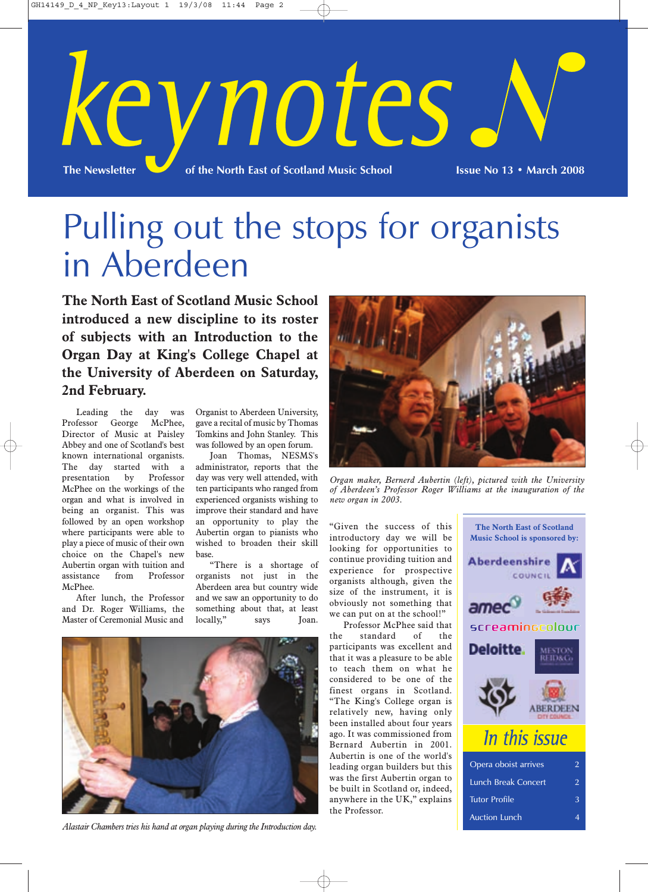

## Pulling out the stops for organists in Aberdeen

**The North East of Scotland Music School introduced a new discipline to its roster of subjects with an Introduction to the Organ Day at King's College Chapel at the University of Aberdeen on Saturday, 2nd February.**

Leading the day was Professor George McPhee, Director of Music at Paisley Abbey and one of Scotland's best known international organists. The day started with a presentation by Professor McPhee on the workings of the organ and what is involved in being an organist. This was followed by an open workshop where participants were able to play a piece of music of their own choice on the Chapel's new Aubertin organ with tuition and assistance from Professor McPhee.

After lunch, the Professor and Dr. Roger Williams, the Master of Ceremonial Music and

Organist to Aberdeen University, gave a recital of music by Thomas Tomkins and John Stanley. This was followed by an open forum.

Joan Thomas, NESMS's administrator, reports that the day was very well attended, with ten participants who ranged from experienced organists wishing to improve their standard and have an opportunity to play the Aubertin organ to pianists who wished to broaden their skill base.

"There is a shortage of organists not just in the Aberdeen area but country wide and we saw an opportunity to do something about that, at least locally," says Joan.



*Alastair Chambers tries his hand at organ playing during the Introduction day.*



*Organ maker, Bernerd Aubertin (left), pictured with the University of Aberdeen's Professor Roger Williams at the inauguration of the new organ in 2003.*

"Given the success of this introductory day we will be looking for opportunities to continue providing tuition and experience for prospective organists although, given the size of the instrument, it is obviously not something that we can put on at the school!"

Professor McPhee said that the standard of the participants was excellent and that it was a pleasure to be able to teach them on what he considered to be one of the finest organs in Scotland. "The King's College organ is relatively new, having only been installed about four years ago. It was commissioned from Bernard Aubertin in 2001. Aubertin is one of the world's leading organ builders but this was the first Aubertin organ to be built in Scotland or, indeed, anywhere in the UK," explains the Professor.



Auction Lunch 4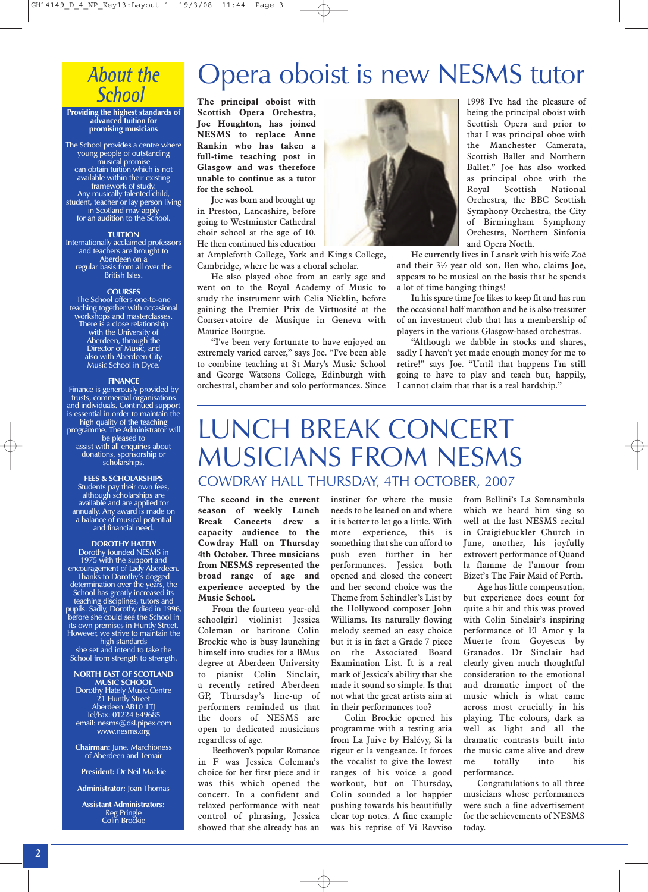## **About the School**

#### **Providing the highest standards of advanced tuition for promising musicians**

The School provides a centre where young people of outstanding musical promise can obtain tuition which is not available within their existing framework of study. Any musically talented child, student, teacher or lay person living in Scotland may apply for an audition to the School.

#### **TUITION**

Internationally acclaimed professors and teachers are brought to Aberdeen on a regular basis from all over the British Isles.

#### **COURSES**

The School offers one-to-one teaching together with occasional workshops and masterclasses. There is a close relationship with the University of Aberdeen, through the Director of Music, and also with Aberdeen City Music School in Dyce.

#### **FINANCE**

Finance is generously provided by trusts, commercial organisations and individuals. Continued support is essential in order to maintain the high quality of the teaching programme. The Administrator will be pleased to assist with all enquiries about donations, sponsorship or scholarships.

#### **FEES & SCHOLARSHIPS**

Students pay their own fees, although scholarships are available and are applied for annually. Any award is made on a balance of musical potential and financial need.

#### **DOROTHY HATELY**

Dorothy founded NESMS in 1975 with the support and encouragement of Lady Aberdeen. Thanks to Dorothy's dogged determination over the years, the School has greatly increased its teaching disciplines, tutors and pupils. Sadly, Dorothy died in 1996, before she could see the School in its own premises in Huntly Street. However, we strive to maintain the high standards she set and intend to take the School from strength to strength.

#### **NORTH EAST OF SCOTLAND MUSIC SCHOOL**

Dorothy Hately Music Centre 21 Huntly Street Aberdeen AB10 1TJ Tel/Fax: 01224 649685 email: nesms@dsl.pipex.com www.nesms.org

**Chairman:** June, Marchioness of Aberdeen and Temair

**President:** Dr Neil Mackie

**Administrator:** Joan Thomas

**Assistant Administrators:** Reg Pringle Colin Brockie

## Opera oboist is new NESMS tutor

**The principal oboist with Scottish Opera Orchestra, Joe Houghton, has joined NESMS to replace Anne Rankin who has taken a full-time teaching post in Glasgow and was therefore unable to continue as a tutor for the school.**

Joe was born and brought up in Preston, Lancashire, before going to Westminster Cathedral choir school at the age of 10. He then continued his education

at Ampleforth College, York and King's College, Cambridge, where he was a choral scholar.

He also played oboe from an early age and went on to the Royal Academy of Music to study the instrument with Celia Nicklin, before gaining the Premier Prix de Virtuosité at the Conservatoire de Musique in Geneva with Maurice Bourgue.

"I've been very fortunate to have enjoyed an extremely varied career," says Joe. "I've been able to combine teaching at St Mary's Music School and George Watsons College, Edinburgh with orchestral, chamber and solo performances. Since



1998 I've had the pleasure of being the principal oboist with Scottish Opera and prior to that I was principal oboe with the Manchester Camerata, Scottish Ballet and Northern Ballet." Joe has also worked as principal oboe with the Royal Scottish National Orchestra, the BBC Scottish Symphony Orchestra, the City of Birmingham Symphony Orchestra, Northern Sinfonia and Opera North.

He currently lives in Lanark with his wife Zoë and their 3½ year old son, Ben who, claims Joe, appears to be musical on the basis that he spends a lot of time banging things!

In his spare time Joe likes to keep fit and has run the occasional half marathon and he is also treasurer of an investment club that has a membership of players in the various Glasgow-based orchestras.

"Although we dabble in stocks and shares, sadly I haven't yet made enough money for me to retire!" says Joe. "Until that happens I'm still going to have to play and teach but, happily, I cannot claim that that is a real hardship."

## LUNCH BREAK CONCERT MUSICIANS FROM NESMS COWDRAY HALL THURSDAY, 4TH OCTOBER, 2007

**The second in the current season of weekly Lunch Break Concerts drew a capacity audience to the Cowdray Hall on Thursday 4th October. Three musicians from NESMS represented the broad range of age and experience accepted by the Music School.**

From the fourteen year-old schoolgirl violinist Jessica Coleman or baritone Colin Brockie who is busy launching himself into studies for a BMus degree at Aberdeen University to pianist Colin Sinclair, a recently retired Aberdeen GP, Thursday's line-up of performers reminded us that the doors of NESMS are open to dedicated musicians regardless of age.

Beethoven's popular Romance in F was Jessica Coleman's choice for her first piece and it was this which opened the concert. In a confident and relaxed performance with neat control of phrasing, Jessica showed that she already has an instinct for where the music needs to be leaned on and where it is better to let go a little. With more experience, this is something that she can afford to push even further in her performances. Jessica both opened and closed the concert and her second choice was the Theme from Schindler's List by the Hollywood composer John Williams. Its naturally flowing melody seemed an easy choice but it is in fact a Grade 7 piece on the Associated Board Examination List. It is a real mark of Jessica's ability that she made it sound so simple. Is that not what the great artists aim at in their performances too?

Colin Brockie opened his programme with a testing aria from La Juive by Halévy, Si la rigeur et la vengeance. It forces the vocalist to give the lowest ranges of his voice a good workout, but on Thursday, Colin sounded a lot happier pushing towards his beautifully clear top notes. A fine example was his reprise of Vi Ravviso

from Bellini's La Somnambula which we heard him sing so well at the last NESMS recital in Craigiebuckler Church in June, another, his joyfully extrovert performance of Quand la flamme de l'amour from Bizet's The Fair Maid of Perth.

Age has little compensation, but experience does count for quite a bit and this was proved with Colin Sinclair's inspiring performance of El Amor y la Muerte from Goyescas by Granados. Dr Sinclair had clearly given much thoughtful consideration to the emotional and dramatic import of the music which is what came across most crucially in his playing. The colours, dark as well as light and all the dramatic contrasts built into the music came alive and drew me totally into his performance.

Congratulations to all three musicians whose performances were such a fine advertisement for the achievements of NESMS today.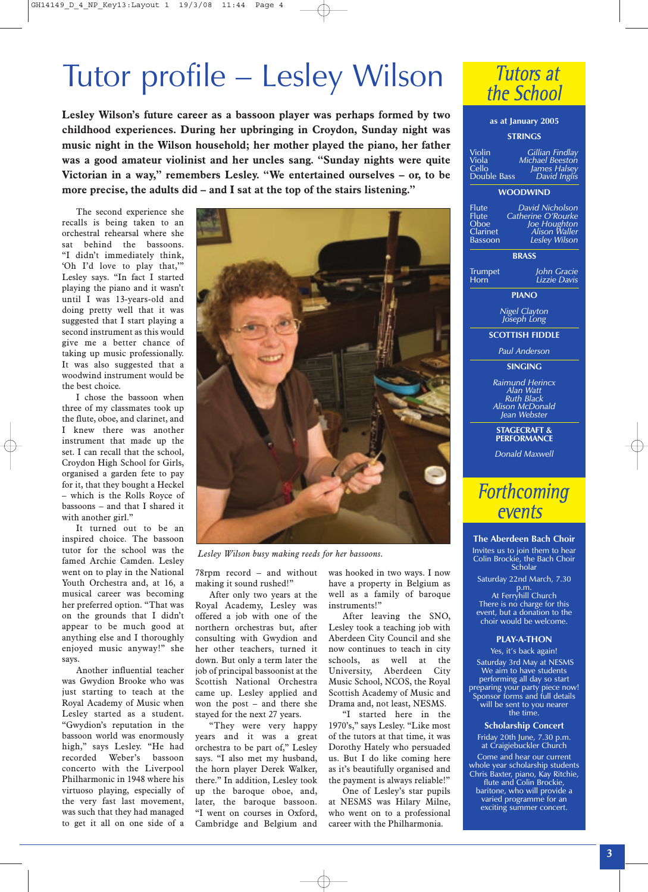## Tutor profile – Lesley Wilson

**Lesley Wilson's future career as a bassoon player was perhaps formed by two childhood experiences. During her upbringing in Croydon, Sunday night was music night in the Wilson household; her mother played the piano, her father was a good amateur violinist and her uncles sang. "Sunday nights were quite Victorian in a way," remembers Lesley. "We entertained ourselves – or, to be more precise, the adults did – and I sat at the top of the stairs listening."**

The second experience she recalls is being taken to an orchestral rehearsal where she sat behind the bassoons. "I didn't immediately think, 'Oh I'd love to play that,'" Lesley says. "In fact I started playing the piano and it wasn't until I was 13-years-old and doing pretty well that it was suggested that I start playing a second instrument as this would give me a better chance of taking up music professionally. It was also suggested that a woodwind instrument would be the best choice.

I chose the bassoon when three of my classmates took up the flute, oboe, and clarinet, and I knew there was another instrument that made up the set. I can recall that the school, Croydon High School for Girls, organised a garden fete to pay for it, that they bought a Heckel – which is the Rolls Royce of bassoons – and that I shared it with another girl."

It turned out to be an inspired choice. The bassoon tutor for the school was the famed Archie Camden. Lesley went on to play in the National Youth Orchestra and, at 16, a musical career was becoming her preferred option. "That was on the grounds that I didn't appear to be much good at anything else and I thoroughly enjoyed music anyway!" she says.

Another influential teacher was Gwydion Brooke who was just starting to teach at the Royal Academy of Music when Lesley started as a student. "Gwydion's reputation in the bassoon world was enormously high," says Lesley. "He had recorded Weber's bassoon concerto with the Liverpool Philharmonic in 1948 where his virtuoso playing, especially of the very fast last movement, was such that they had managed to get it all on one side of a



*Lesley Wilson busy making reeds for her bassoons.*

78rpm record – and without making it sound rushed!"

After only two years at the Royal Academy, Lesley was offered a job with one of the northern orchestras but, after consulting with Gwydion and her other teachers, turned it down. But only a term later the job of principal bassoonist at the Scottish National Orchestra came up. Lesley applied and won the post – and there she stayed for the next 27 years.

"They were very happy years and it was a great orchestra to be part of," Lesley says. "I also met my husband, the horn player Derek Walker, there." In addition, Lesley took up the baroque oboe, and, later, the baroque bassoon. "I went on courses in Oxford, Cambridge and Belgium and

was hooked in two ways. I now have a property in Belgium as well as a family of baroque instruments!"

After leaving the SNO, Lesley took a teaching job with Aberdeen City Council and she now continues to teach in city schools, as well at the University, Aberdeen City Music School, NCOS, the Royal Scottish Academy of Music and Drama and, not least, NESMS.

"I started here in the 1970's," says Lesley. "Like most of the tutors at that time, it was Dorothy Hately who persuaded us. But I do like coming here as it's beautifully organised and the payment is always reliable!"

One of Lesley's star pupils at NESMS was Hilary Milne, who went on to a professional career with the Philharmonia.



#### **as at January 2005**

#### **STRINGS**

Violin *Gillian Findlay* Viola *Michael Beeston* Cello *James Halsey* Double Bass *David Inglis*

#### **WOODWIND**

Flute *David Nicholson* Flute *Catherine O'Rourke* Oboe *Joe Houghton* Clarinet *Alison Waller* Bassoon *Lesley Wilson*

**BRASS**

Trumpet *John Gracie* Horn *Lizzie Davis*

**PIANO**

*Nigel Clayton Joseph Long*

**SCOTTISH FIDDLE**

*Paul Anderson*

#### **SINGING**

*Raimund Herincx Alan Watt Ruth Black Alison McDonald Jean Webster*

### **STAGECRAFT & PERFORMANCE**

*Donald Maxwell*

### **Forthcoming** events

#### **The Aberdeen Bach Choir**

Invites us to join them to hear Colin Brockie, the Bach Choir **Scholar** 

Saturday 22nd March, 7.30

p.m. At Ferryhill Church There is no charge for this event, but a donation to the choir would be welcome.

#### **PLAY-A-THON**

Yes, it's back again! Saturday 3rd May at NESMS We aim to have students performing all day so start preparing your party piece now! Sponsor forms and full details will be sent to you nearer the time.

#### **Scholarship Concert**

Friday 20th June, 7.30 p.m. at Craigiebuckler Church Come and hear our current whole year scholarship students Chris Baxter, piano, Kay Ritchie, flute and Colin Brockie, baritone, who will provide a varied programme for an exciting summer concert.